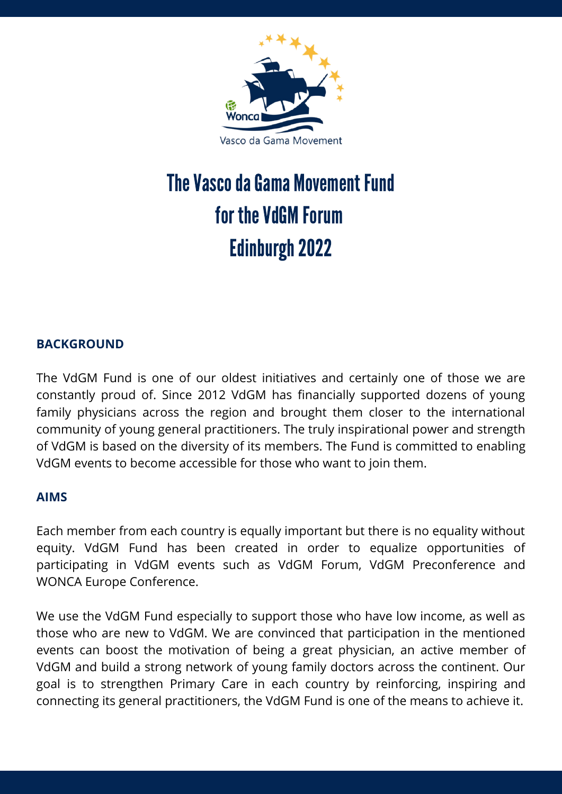

# The Vasco da Gama Movement Fund for the VdGM Forum Edinburgh 2022

# **BACKGROUND**

The VdGM Fund is one of our oldest initiatives and certainly one of those we are constantly proud of. Since 2012 VdGM has financially supported dozens of young family physicians across the region and brought them closer to the international community of young general practitioners. The truly inspirational power and strength of VdGM is based on the diversity of its members. The Fund is committed to enabling VdGM events to become accessible for those who want to join them.

#### **AIMS**

Each member from each country is equally important but there is no equality without equity. VdGM Fund has been created in order to equalize opportunities of participating in VdGM events such as VdGM Forum, VdGM Preconference and WONCA Europe Conference.

We use the VdGM Fund especially to support those who have low income, as well as those who are new to VdGM. We are convinced that participation in the mentioned events can boost the motivation of being a great physician, an active member of VdGM and build a strong network of young family doctors across the continent. Our goal is to strengthen Primary Care in each country by reinforcing, inspiring and connecting its general practitioners, the VdGM Fund is one of the means to achieve it.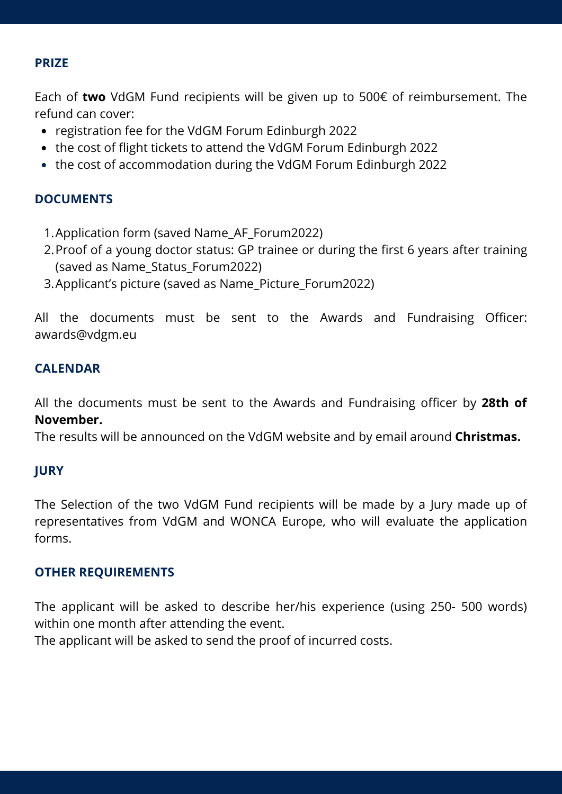## **PRIZE**

Each of **two** VdGM Fund recipients will be given up to 500€ of reimbursement. The refund can cover:

- registration fee for the VdGM Forum Edinburgh 2022
- the cost of flight tickets to attend the VdGM Forum Edinburgh 2022
- the cost of accommodation during the VdGM Forum Edinburgh 2022

## **DOCUMENTS**

- Application form (saved Name\_AF\_Forum2022) 1.
- 2.Proof of a young doctor status: GP trainee or during the first 6 years after training (saved as Name\_Status\_Forum2022)
- 3.Applicant's picture (saved as Name\_Picture\_Forum2022)

All the documents must be sent to the Awards and Fundraising Officer: awards@vdgm.eu

## **CALENDAR**

All the documents must be sent to the Awards and Fundraising officer by **28th of November.**

The results will be announced on the VdGM website and by email around **Christmas.**

## **JURY**

The Selection of the two VdGM Fund recipients will be made by a Jury made up of representatives from VdGM and WONCA Europe, who will evaluate the application forms.

#### **OTHER REQUIREMENTS**

The applicant will be asked to describe her/his experience (using 250- 500 words) within one month after attending the event.

The applicant will be asked to send the proof of incurred costs.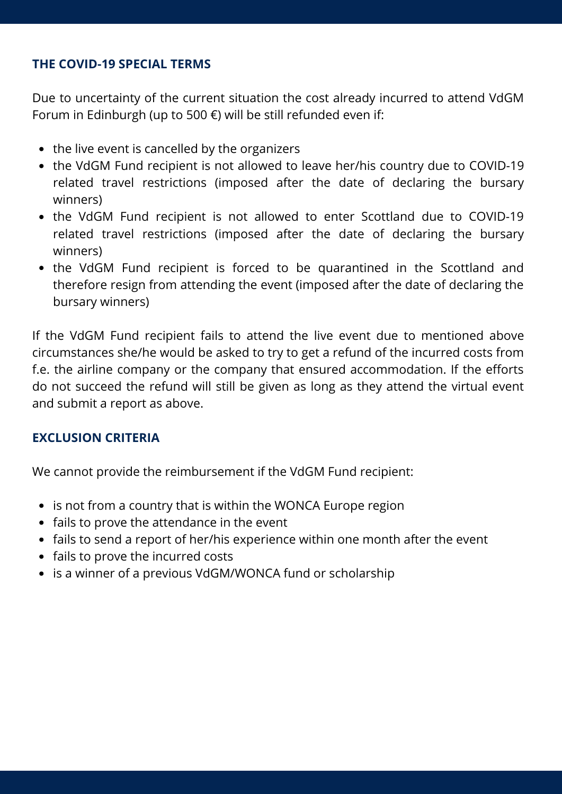## **THE COVID-19 SPECIAL TERMS**

Due to uncertainty of the current situation the cost already incurred to attend VdGM Forum in Edinburgh (up to 500 €) will be still refunded even if:

- the live event is cancelled by the organizers
- the VdGM Fund recipient is not allowed to leave her/his country due to COVID-19 related travel restrictions (imposed after the date of declaring the bursary winners)
- the VdGM Fund recipient is not allowed to enter Scottland due to COVID-19 related travel restrictions (imposed after the date of declaring the bursary winners)
- the VdGM Fund recipient is forced to be quarantined in the Scottland and therefore resign from attending the event (imposed after the date of declaring the bursary winners)

If the VdGM Fund recipient fails to attend the live event due to mentioned above circumstances she/he would be asked to try to get a refund of the incurred costs from f.e. the airline company or the company that ensured accommodation. If the efforts do not succeed the refund will still be given as long as they attend the virtual event and submit a report as above.

## **EXCLUSION CRITERIA**

We cannot provide the reimbursement if the VdGM Fund recipient:

- is not from a country that is within the WONCA Europe region
- fails to prove the attendance in the event
- fails to send a report of her/his experience within one month after the event
- fails to prove the incurred costs
- is a winner of a previous VdGM/WONCA fund or scholarship